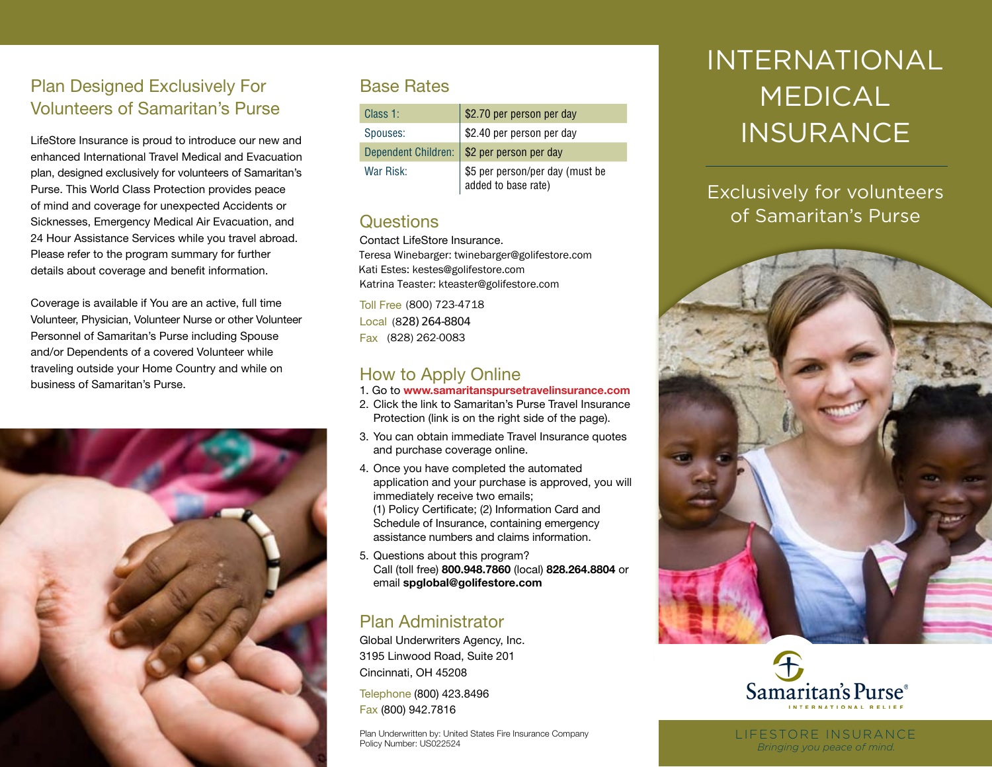## Plan Designed Exclusively For Volunteers of Samaritan's Purse

LifeStore Insurance is proud to introduce our new and enhanced International Travel Medical and Evacuation plan, designed exclusively for volunteers of Samaritan's Purse. This World Class Protection provides peace of mind and coverage for unexpected Accidents or Sicknesses, Emergency Medical Air Evacuation, and 24 Hour Assistance Services while you travel abroad. Please refer to the program summary for further details about coverage and benefit information.

Coverage is available if You are an active, full time Volunteer, Physician, Volunteer Nurse or other Volunteer Personnel of Samaritan's Purse including Spouse and/or Dependents of a covered Volunteer while traveling outside your Home Country and while on business of Samaritan's Purse.



### Base Rates

| Class 1:                   | \$2.70 per person per day                              |
|----------------------------|--------------------------------------------------------|
| Spouses:                   | \$2.40 per person per day                              |
| <b>Dependent Children:</b> | \$2 per person per day                                 |
| War Risk:                  | \$5 per person/per day (must be<br>added to base rate) |

### **Questions**

Contact LifeStore Insurance. Teresa Winebarger: twinebarger@golifestore.com Kati Estes: kestes@golifestore.com Katrina Teaster: kteaster@golifestore.com

Toll Free (800) 723-4718 Local (828) 264.8804 (828) 264-8804 Fax (828) 262.0083 (828) 262-0083

## How to Apply Online

- 1. Go to **www.samaritanspursetravelinsurance.com**
- 2. Click the link to Samaritan's Purse Travel Insurance Protection (link is on the right side of the page).
- 3. You can obtain immediate Travel Insurance quotes and purchase coverage online.
- 4. Once you have completed the automated application and your purchase is approved, you will immediately receive two emails; (1) Policy Certificate; (2) Information Card and Schedule of Insurance, containing emergency assistance numbers and claims information.
- 5. Questions about this program? Call (toll free) **800.948.7860** (local) **828.264.8804** or email **spglobal@golifestore.com**

## Plan Administrator

Global Underwriters Agency, Inc. 3195 Linwood Road, Suite 201 Cincinnati, OH 45208

Telephone (800) 423.8496 Fax (800) 942.7816

Plan Underwritten by: United States Fire Insurance Company Policy Number: US022524

# International **MEDICAL INSURANCE**

## Exclusively for volunteers of Samaritan's Purse





*Bringing you peace of mind.* LifeStore Insurance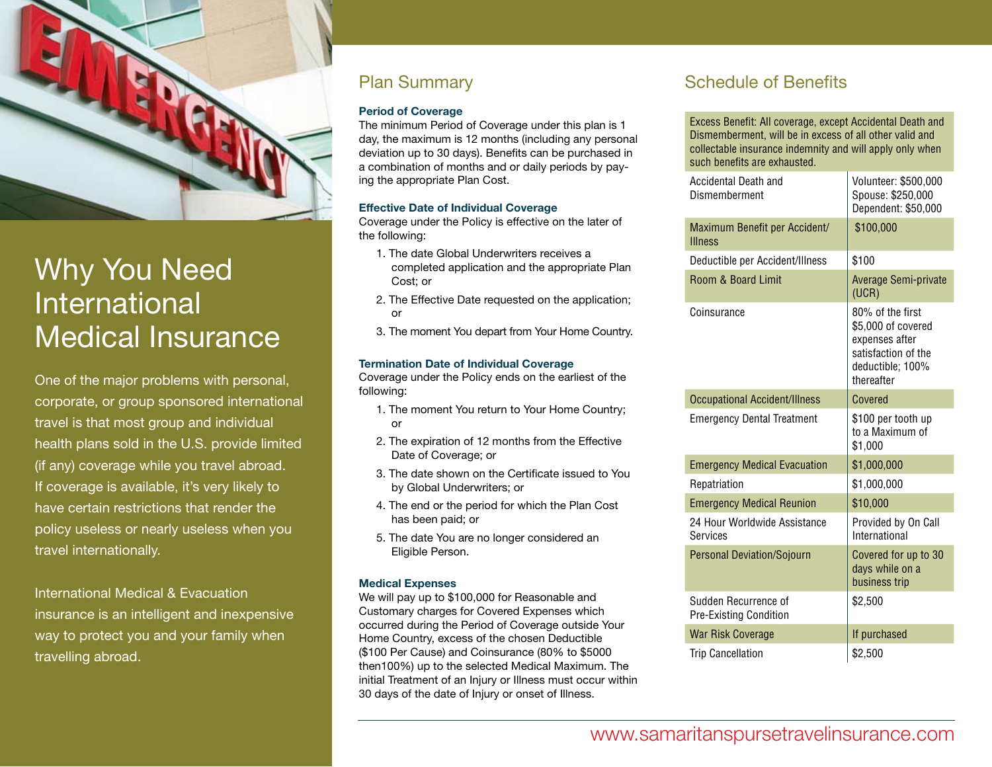

# Why You Need International Medical Insurance

One of the major problems with personal, corporate, or group sponsored international travel is that most group and individual health plans sold in the U.S. provide limited (if any) coverage while you travel abroad. If coverage is available, it's very likely to have certain restrictions that render the policy useless or nearly useless when you travel internationally.

International Medical & Evacuation insurance is an intelligent and inexpensive way to protect you and your family when travelling abroad.

## Plan Summary

#### **Period of Coverage**

The minimum Period of Coverage under this plan is 1 day, the maximum is 12 months (including any personal deviation up to 30 days). Benefits can be purchased in a combination of months and or daily periods by paying the appropriate Plan Cost.

#### **Effective Date of Individual Coverage**

Coverage under the Policy is effective on the later of the following:

- 1. The date Global Underwriters receives a completed application and the appropriate Plan Cost; or
- 2. The Effective Date requested on the application; or
- 3. The moment You depart from Your Home Country.

#### **Termination Date of Individual Coverage**

Coverage under the Policy ends on the earliest of the following:

- 1. The moment You return to Your Home Country; or
- 2. The expiration of 12 months from the Effective Date of Coverage; or
- 3. The date shown on the Certificate issued to You by Global Underwriters; or
- 4. The end or the period for which the Plan Cost has been paid; or
- 5. The date You are no longer considered an Eligible Person.

#### **Medical Expenses**

We will pay up to \$100,000 for Reasonable and Customary charges for Covered Expenses which occurred during the Period of Coverage outside Your Home Country, excess of the chosen Deductible (\$100 Per Cause) and Coinsurance (80% to \$5000 then100%) up to the selected Medical Maximum. The initial Treatment of an Injury or Illness must occur within 30 days of the date of Injury or onset of Illness.

## Schedule of Benefits

Excess Benefit: All coverage, except Accidental Death and Dismemberment, will be in excess of all other valid and collectable insurance indemnity and will apply only when such benefits are exhausted.

| Accidental Death and<br>Dismemberment           | Volunteer: \$500,000<br>Spouse: \$250,000<br>Dependent: \$50,000                                                  |
|-------------------------------------------------|-------------------------------------------------------------------------------------------------------------------|
| Maximum Benefit per Accident/<br><b>Illness</b> | \$100,000                                                                                                         |
| Deductible per Accident/Illness                 | \$100                                                                                                             |
| <b>Room &amp; Board Limit</b>                   | Average Semi-private<br>(UCR)                                                                                     |
| Coinsurance                                     | 80% of the first<br>\$5,000 of covered<br>expenses after<br>satisfaction of the<br>deductible; 100%<br>thereafter |
| <b>Occupational Accident/Illness</b>            | Covered                                                                                                           |
| <b>Emergency Dental Treatment</b>               | \$100 per tooth up<br>to a Maximum of<br>\$1,000                                                                  |
| <b>Emergency Medical Evacuation</b>             | \$1,000,000                                                                                                       |
| Repatriation                                    | \$1,000,000                                                                                                       |
| <b>Emergency Medical Reunion</b>                | \$10,000                                                                                                          |
| 24 Hour Worldwide Assistance<br>Services        | Provided by On Call<br>International                                                                              |
| <b>Personal Deviation/Sojourn</b>               | Covered for up to 30<br>days while on a<br>business trip                                                          |
| Sudden Recurrence of<br>Pre-Existing Condition  | \$2,500                                                                                                           |
| <b>War Risk Coverage</b>                        | If purchased                                                                                                      |
| <b>Trip Cancellation</b>                        | \$2,500                                                                                                           |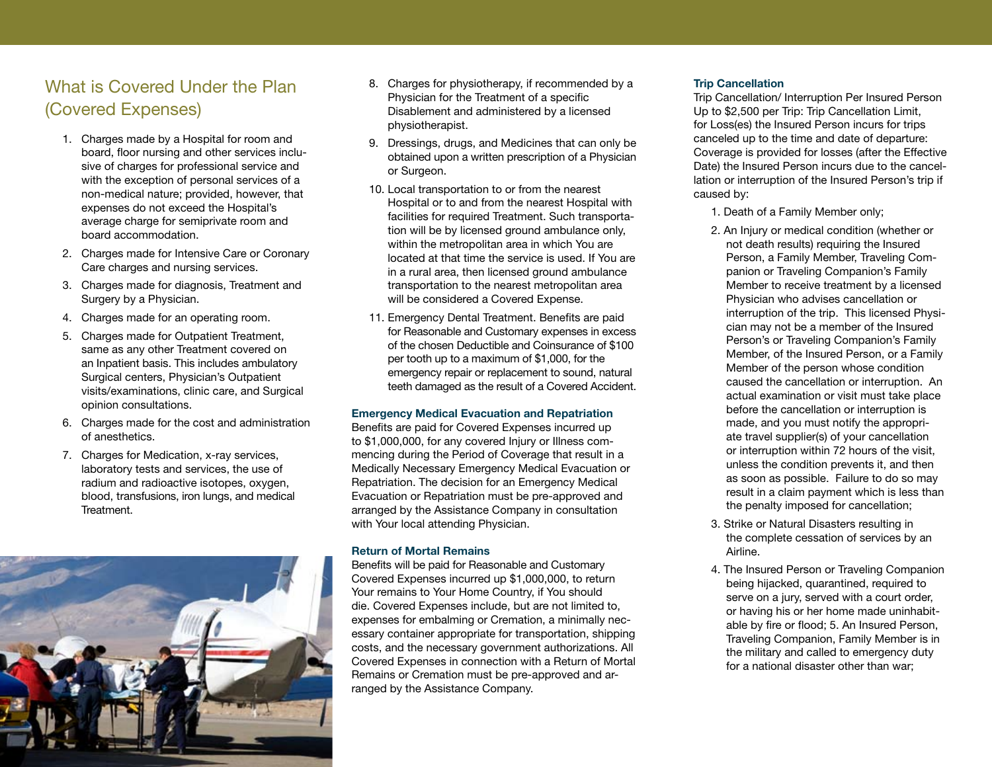## What is Covered Under the Plan (Covered Expenses)

- 1. Charges made by a Hospital for room and board, floor nursing and other services inclusive of charges for professional service and with the exception of personal services of a non-medical nature; provided, however, that expenses do not exceed the Hospital's average charge for semiprivate room and board accommodation.
- 2. Charges made for Intensive Care or Coronary Care charges and nursing services.
- 3. Charges made for diagnosis, Treatment and Surgery by a Physician.
- 4. Charges made for an operating room.
- 5. Charges made for Outpatient Treatment, same as any other Treatment covered on an Inpatient basis. This includes ambulatory Surgical centers, Physician's Outpatient visits/examinations, clinic care, and Surgical opinion consultations.
- 6. Charges made for the cost and administration of anesthetics.
- 7. Charges for Medication, x-ray services, laboratory tests and services, the use of radium and radioactive isotopes, oxygen, blood, transfusions, iron lungs, and medical Treatment.



- 8. Charges for physiotherapy, if recommended by a Physician for the Treatment of a specific Disablement and administered by a licensed physiotherapist.
- 9. Dressings, drugs, and Medicines that can only be obtained upon a written prescription of a Physician or Surgeon.
- 10. Local transportation to or from the nearest Hospital or to and from the nearest Hospital with facilities for required Treatment. Such transportation will be by licensed ground ambulance only, within the metropolitan area in which You are located at that time the service is used. If You are in a rural area, then licensed ground ambulance transportation to the nearest metropolitan area will be considered a Covered Expense.
- 11. Emergency Dental Treatment. Benefits are paid for Reasonable and Customary expenses in excess of the chosen Deductible and Coinsurance of \$100 per tooth up to a maximum of \$1,000, for the emergency repair or replacement to sound, natural teeth damaged as the result of a Covered Accident.

#### **Emergency Medical Evacuation and Repatriation**

Benefits are paid for Covered Expenses incurred up to \$1,000,000, for any covered Injury or Illness commencing during the Period of Coverage that result in a Medically Necessary Emergency Medical Evacuation or Repatriation. The decision for an Emergency Medical Evacuation or Repatriation must be pre-approved and arranged by the Assistance Company in consultation with Your local attending Physician.

#### **Return of Mortal Remains**

Benefits will be paid for Reasonable and Customary Covered Expenses incurred up \$1,000,000, to return Your remains to Your Home Country, if You should die. Covered Expenses include, but are not limited to, expenses for embalming or Cremation, a minimally necessary container appropriate for transportation, shipping costs, and the necessary government authorizations. All Covered Expenses in connection with a Return of Mortal Remains or Cremation must be pre-approved and arranged by the Assistance Company.

#### **Trip Cancellation**

Trip Cancellation/ Interruption Per Insured Person Up to \$2,500 per Trip: Trip Cancellation Limit, for Loss(es) the Insured Person incurs for trips canceled up to the time and date of departure: Coverage is provided for losses (after the Effective Date) the Insured Person incurs due to the cancellation or interruption of the Insured Person's trip if caused by:

- 1. Death of a Family Member only;
- 2. An Injury or medical condition (whether or not death results) requiring the Insured Person, a Family Member, Traveling Companion or Traveling Companion's Family Member to receive treatment by a licensed Physician who advises cancellation or interruption of the trip. This licensed Physician may not be a member of the Insured Person's or Traveling Companion's Family Member, of the Insured Person, or a Family Member of the person whose condition caused the cancellation or interruption. An actual examination or visit must take place before the cancellation or interruption is made, and you must notify the appropriate travel supplier(s) of your cancellation or interruption within 72 hours of the visit, unless the condition prevents it, and then as soon as possible. Failure to do so may result in a claim payment which is less than the penalty imposed for cancellation;
- 3. Strike or Natural Disasters resulting in the complete cessation of services by an Airline.
- 4. The Insured Person or Traveling Companion being hijacked, quarantined, required to serve on a jury, served with a court order, or having his or her home made uninhabitable by fire or flood; 5. An Insured Person, Traveling Companion, Family Member is in the military and called to emergency duty for a national disaster other than war;